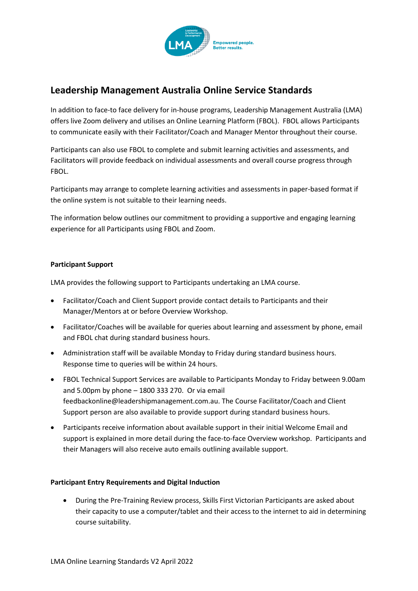

# **Leadership Management Australia Online Service Standards**

In addition to face-to face delivery for in-house programs, Leadership Management Australia (LMA) offers live Zoom delivery and utilises an Online Learning Platform (FBOL). FBOL allows Participants to communicate easily with their Facilitator/Coach and Manager Mentor throughout their course.

Participants can also use FBOL to complete and submit learning activities and assessments, and Facilitators will provide feedback on individual assessments and overall course progress through FBOL.

Participants may arrange to complete learning activities and assessments in paper-based format if the online system is not suitable to their learning needs.

The information below outlines our commitment to providing a supportive and engaging learning experience for all Participants using FBOL and Zoom.

# **Participant Support**

LMA provides the following support to Participants undertaking an LMA course.

- Facilitator/Coach and Client Support provide contact details to Participants and their Manager/Mentors at or before Overview Workshop.
- Facilitator/Coaches will be available for queries about learning and assessment by phone, email and FBOL chat during standard business hours.
- Administration staff will be available Monday to Friday during standard business hours. Response time to queries will be within 24 hours.
- FBOL Technical Support Services are available to Participants Monday to Friday between 9.00am and 5.00pm by phone – 1800 333 270. Or via email [feedbackonline@leadershipmanagement.com.au.](mailto:feedbackonline@leadershipmanagement.com.au) The Course Facilitator/Coach and Client Support person are also available to provide support during standard business hours.
- Participants receive information about available support in their initial Welcome Email and support is explained in more detail during the face-to-face Overview workshop. Participants and their Managers will also receive auto emails outlining available support.

# **Participant Entry Requirements and Digital Induction**

• During the Pre-Training Review process, Skills First Victorian Participants are asked about their capacity to use a computer/tablet and their access to the internet to aid in determining course suitability.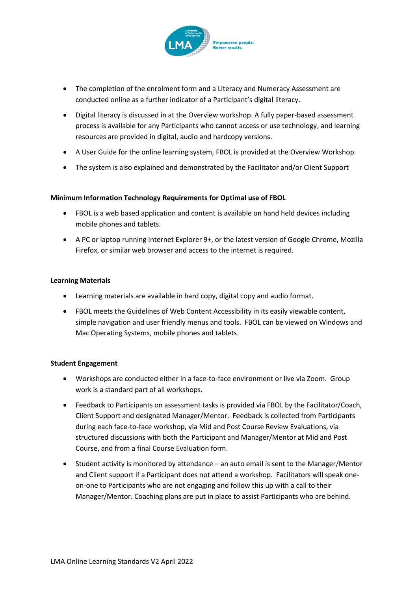

- The completion of the enrolment form and a Literacy and Numeracy Assessment are conducted online as a further indicator of a Participant's digital literacy.
- Digital literacy is discussed in at the Overview workshop. A fully paper-based assessment process is available for any Participants who cannot access or use technology, and learning resources are provided in digital, audio and hardcopy versions.
- A User Guide for the online learning system, FBOL is provided at the Overview Workshop.
- The system is also explained and demonstrated by the Facilitator and/or Client Support

## **Minimum Information Technology Requirements for Optimal use of FBOL**

- FBOL is a web based application and content is available on hand held devices including mobile phones and tablets.
- A PC or laptop running Internet Explorer 9+, or the latest version of Google Chrome, Mozilla Firefox, or similar web browser and access to the internet is required.

#### **Learning Materials**

- Learning materials are available in hard copy, digital copy and audio format.
- FBOL meets the Guidelines of Web Content Accessibility in its easily viewable content, simple navigation and user friendly menus and tools. FBOL can be viewed on Windows and Mac Operating Systems, mobile phones and tablets.

## **Student Engagement**

- Workshops are conducted either in a face-to-face environment or live via Zoom. Group work is a standard part of all workshops.
- Feedback to Participants on assessment tasks is provided via FBOL by the Facilitator/Coach, Client Support and designated Manager/Mentor. Feedback is collected from Participants during each face-to-face workshop, via Mid and Post Course Review Evaluations, via structured discussions with both the Participant and Manager/Mentor at Mid and Post Course, and from a final Course Evaluation form.
- Student activity is monitored by attendance an auto email is sent to the Manager/Mentor and Client support if a Participant does not attend a workshop. Facilitators will speak oneon-one to Participants who are not engaging and follow this up with a call to their Manager/Mentor. Coaching plans are put in place to assist Participants who are behind.